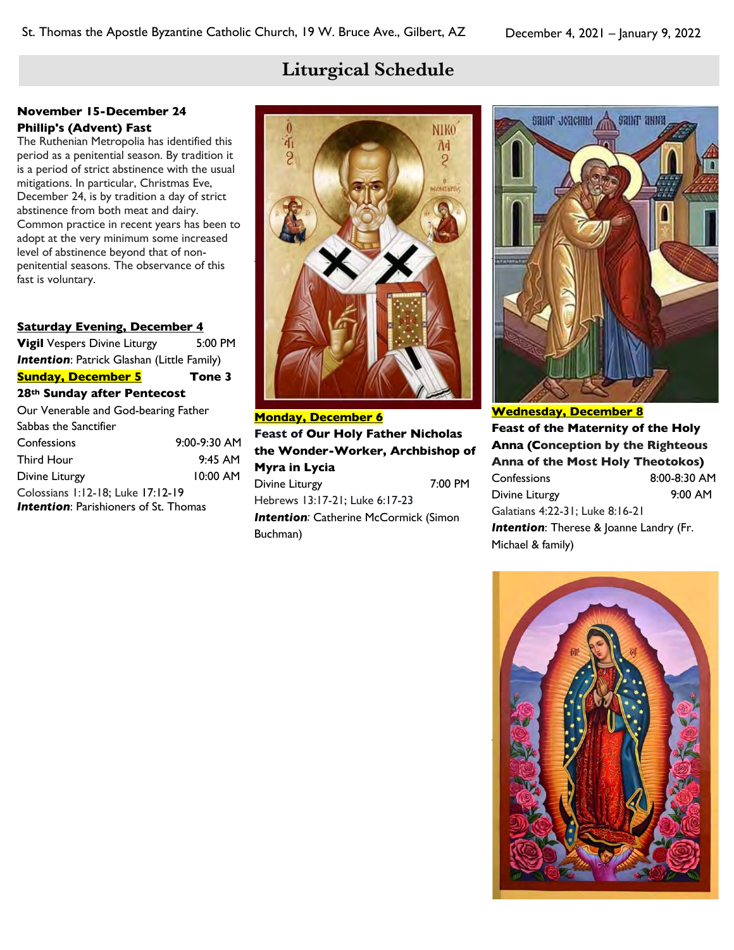布

2

# **Liturgical Schedule**

**NIKO** 

Ã4

S

**BEZHETKPIN** 

#### **November 15-December 24**

#### **Phillip's (Advent) Fast**

The Ruthenian Metropolia has identified this period as a penitential season. By tradition it is a period of strict abstinence with the usual mitigations. In particular, Christmas Eve, December 24, is by tradition a day of strict abstinence from both meat and dairy. Common practice in recent years has been to adopt at the very minimum some increased level of abstinence beyond that of nonpenitential seasons. The observance of this fast is voluntary.

#### **Saturday Evening, December 4**

**Vigil** Vespers Divine Liturgy 5:00 PM **Intention: Patrick Glashan (Little Family) Sunday, December 5 Tone 3 28th Sunday after Pentecost**  Our Venerable and God-bearing Father Sabbas the Sanctifier Confessions 9:00-9:30 AM Third Hour 9:45 AM Divine Liturgy 10:00 AM Colossians 1:12-18; Luke 17:12-19 **Intention: Parishioners of St. Thomas** 

**Monday, December 6 Feast of Our Holy Father Nicholas the Wonder-Worker, Archbishop of Myra in Lycia** Divine Liturgy 7:00 PM Hebrews 13:17-21; Luke 6:17-23

**Intention: Catherine McCormick (Simon** Buchman)



**Wednesday, December 8 Feast of the Maternity of the Holy Anna (Conception by the Righteous Anna of the Most Holy Theotokos)** Confessions 8:00-8:30 AM Divine Liturgy 9:00 AM Galatians 4:22-31; Luke 8:16-21 **Intention:** Therese & Joanne Landry (Fr. Michael & family)

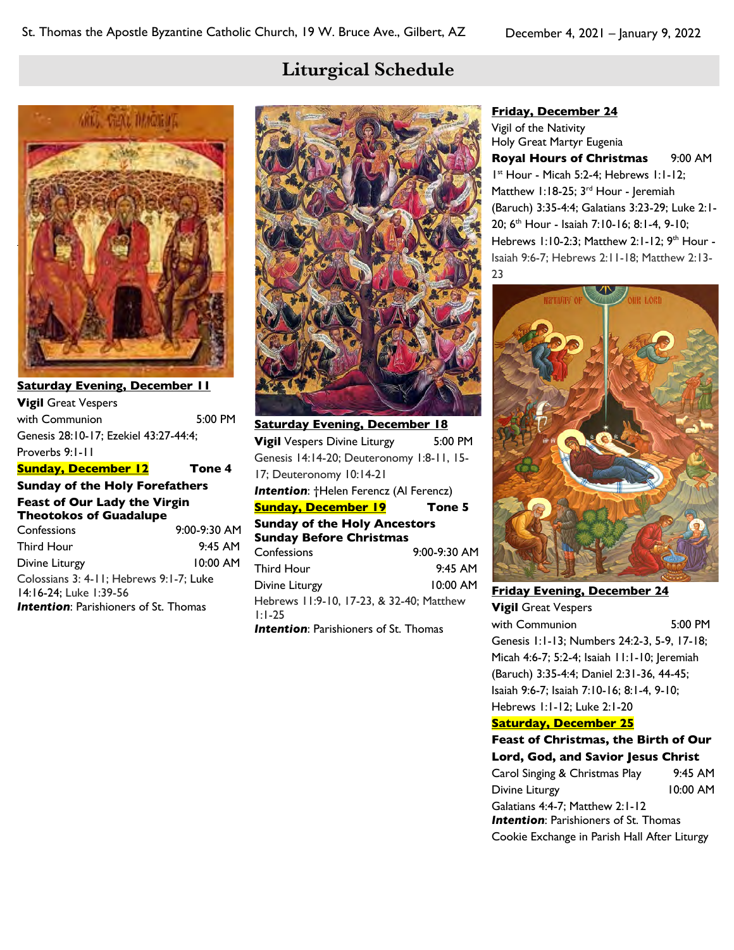# **Liturgical Schedule**



**Saturday Evening, December 11 Vigil** Great Vespers with Communion 5:00 PM Genesis 28:10-17; Ezekiel 43:27-44:4; Proverbs 9:1-11 **Sunday, December 12 Tone 4 Sunday of the Holy Forefathers Feast of Our Lady the Virgin Theotokos of Guadalupe** Confessions 9:00-9:30 AM Third Hour 9:45 AM Divine Liturgy 10:00 AM Colossians 3: 4-11; Hebrews 9:1-7; Luke 14:16-24; Luke 1:39-56

**Intention: Parishioners of St. Thomas** 



**Saturday Evening, December 18 Vigil** Vespers Divine Liturgy 5:00 PM Genesis 14:14-20; Deuteronomy 1:8-11, 15- 17; Deuteronomy 10:14-21 *Intention*: †Helen Ferencz (Al Ferencz) **Sunday, December 19 Tone 5 Sunday of the Holy Ancestors Sunday Before Christmas** Confessions 9:00-9:30 AM Third Hour 9:45 AM Divine Liturgy 10:00 AM Hebrews 11:9-10, 17-23, & 32-40; Matthew 1:1-25

**Intention:** Parishioners of St. Thomas

#### **Friday, December 24**

Vigil of the Nativity Holy Great Martyr Eugenia **Royal Hours of Christmas** 9:00 AM 1st Hour - Micah 5:2-4; Hebrews 1:1-12; Matthew 1:18-25; 3<sup>rd</sup> Hour - Jeremiah (Baruch) 3:35-4:4; Galatians 3:23-29; Luke 2:1- 20; 6th Hour - Isaiah 7:10-16; 8:1-4, 9-10; Hebrews 1:10-2:3; Matthew 2:1-12; 9<sup>th</sup> Hour -Isaiah 9:6-7; Hebrews 2:11-18; Matthew 2:13- 23



**Friday Evening, December 24 Vigil** Great Vespers with Communion 5:00 PM Genesis 1:1-13; Numbers 24:2-3, 5-9, 17-18; Micah 4:6-7; 5:2-4; Isaiah 11:1-10; Jeremiah (Baruch) 3:35-4:4; Daniel 2:31-36, 44-45; Isaiah 9:6-7; Isaiah 7:10-16; 8:1-4, 9-10; Hebrews 1:1-12; Luke 2:1-20

#### **Saturday, December 25**

**Feast of Christmas, the Birth of Our Lord, God, and Savior Jesus Christ** Carol Singing & Christmas Play 9:45 AM Divine Liturgy 10:00 AM Galatians 4:4-7; Matthew 2:1-12 **Intention: Parishioners of St. Thomas** Cookie Exchange in Parish Hall After Liturgy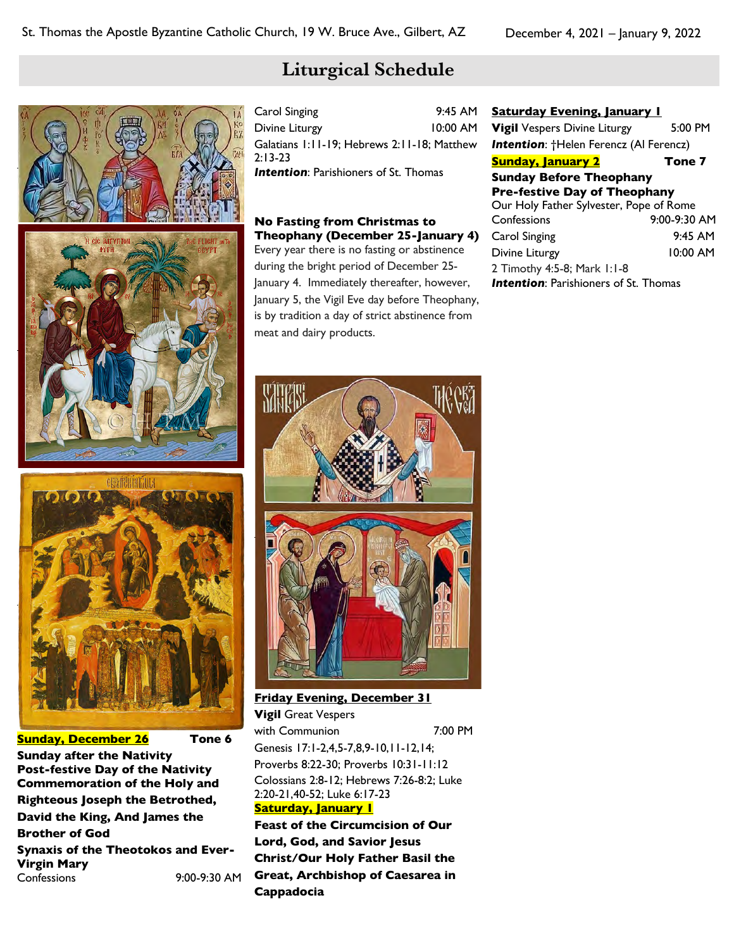# **Liturgical Schedule**

| Carol Singing                                | $9:45$ AM  |
|----------------------------------------------|------------|
| Divine Liturgy                               | $10:00$ AM |
| Galatians 1:11-19; Hebrews 2:11-18; Matthew  |            |
| $2:13-23$                                    |            |
| <b>Intention:</b> Parishioners of St. Thomas |            |

#### **No Fasting from Christmas to Theophany (December 25-January 4)** Every year there is no fasting or abstinence

during the bright period of December 25- January 4. Immediately thereafter, however, January 5, the Vigil Eve day before Theophany, is by tradition a day of strict abstinence from meat and dairy products.

| <b>Saturday Evening, January I</b>            |              |
|-----------------------------------------------|--------------|
| <b>Vigil</b> Vespers Divine Liturgy           | 5:00 PM      |
| <b>Intention: +Helen Ferencz (Al Ferencz)</b> |              |
| <b>Sunday, January 2</b>                      | Tone 7       |
| <b>Sunday Before Theophany</b>                |              |
| <b>Pre-festive Day of Theophany</b>           |              |
| Our Holy Father Sylvester, Pope of Rome       |              |
| Confessions                                   | 9:00-9:30 AM |
| Carol Singing                                 | $9.45$ AM    |
| Divine Liturgy                                | $10:00$ AM   |
| 2 Timothy 4:5-8; Mark 1:1-8                   |              |

**Intention:** Parishioners of St. Thomas



**Sunday, December 26 Tone 6 Sunday after the Nativity Post-festive Day of the Nativity Commemoration of the Holy and Righteous Joseph the Betrothed, David the King, And James the Brother of God Synaxis of the Theotokos and Ever-Virgin Mary** Confessions 9:00-9:30 AM



**Friday Evening, December 31 Vigil** Great Vespers with Communion 7:00 PM Genesis 17:1-2,4,5-7,8,9-10,11-12,14; Proverbs 8:22-30; Proverbs 10:31-11:12 Colossians 2:8-12; Hebrews 7:26-8:2; Luke 2:20-21,40-52; Luke 6:17-23 **Saturday, January 1**

**Feast of the Circumcision of Our Lord, God, and Savior Jesus Christ/Our Holy Father Basil the Great, Archbishop of Caesarea in Cappadocia**